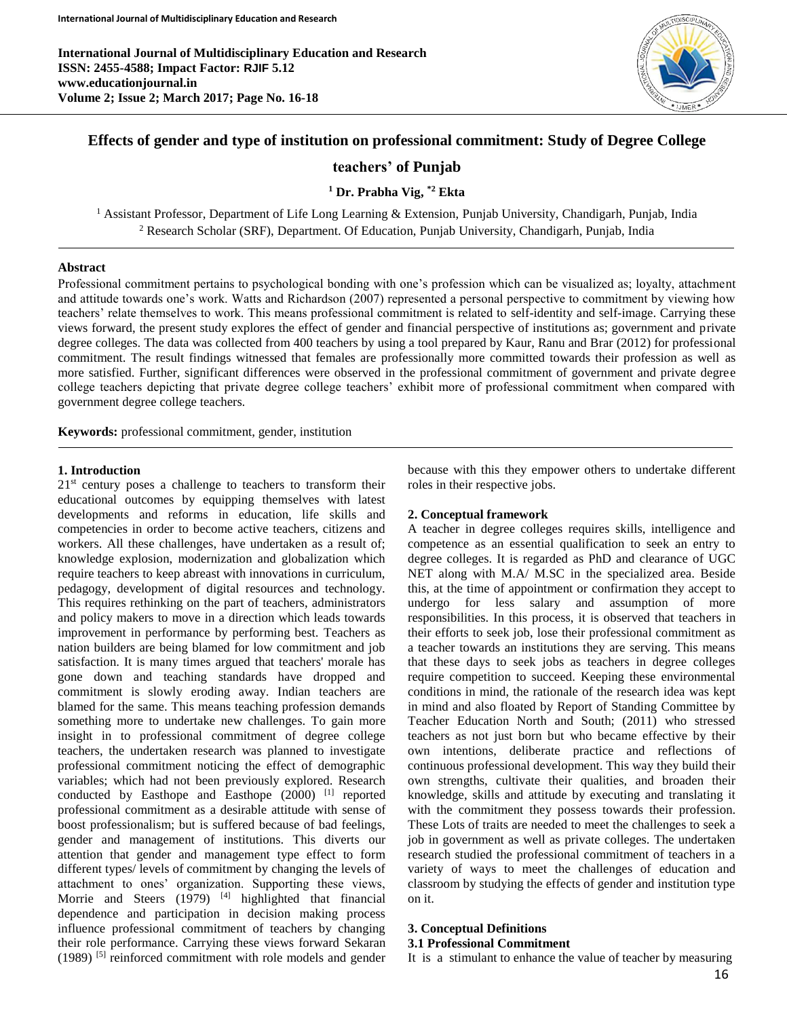

# **Effects of gender and type of institution on professional commitment: Study of Degree College**

## **teachers' of Punjab**

**<sup>1</sup> Dr. Prabha Vig, \*2 Ekta**

<sup>1</sup> Assistant Professor, Department of Life Long Learning & Extension, Punjab University, Chandigarh, Punjab, India <sup>2</sup> Research Scholar (SRF), Department. Of Education, Punjab University, Chandigarh, Punjab, India

### **Abstract**

Professional commitment pertains to psychological bonding with one's profession which can be visualized as; loyalty, attachment and attitude towards one's work. Watts and Richardson (2007) represented a personal perspective to commitment by viewing how teachers' relate themselves to work. This means professional commitment is related to self-identity and self-image. Carrying these views forward, the present study explores the effect of gender and financial perspective of institutions as; government and private degree colleges. The data was collected from 400 teachers by using a tool prepared by Kaur, Ranu and Brar (2012) for professional commitment. The result findings witnessed that females are professionally more committed towards their profession as well as more satisfied. Further, significant differences were observed in the professional commitment of government and private degree college teachers depicting that private degree college teachers' exhibit more of professional commitment when compared with government degree college teachers*.*

**Keywords:** professional commitment, gender, institution

#### **1. Introduction**

 $21<sup>st</sup>$  century poses a challenge to teachers to transform their educational outcomes by equipping themselves with latest developments and reforms in education, life skills and competencies in order to become active teachers, citizens and workers. All these challenges, have undertaken as a result of; knowledge explosion, modernization and globalization which require teachers to keep abreast with innovations in curriculum, pedagogy, development of digital resources and technology. This requires rethinking on the part of teachers, administrators and policy makers to move in a direction which leads towards improvement in performance by performing best. Teachers as nation builders are being blamed for low commitment and job satisfaction. It is many times argued that teachers' morale has gone down and teaching standards have dropped and commitment is slowly eroding away. Indian teachers are blamed for the same. This means teaching profession demands something more to undertake new challenges. To gain more insight in to professional commitment of degree college teachers, the undertaken research was planned to investigate professional commitment noticing the effect of demographic variables; which had not been previously explored. Research conducted by Easthope and Easthope (2000) [1] reported professional commitment as a desirable attitude with sense of boost professionalism; but is suffered because of bad feelings, gender and management of institutions. This diverts our attention that gender and management type effect to form different types/ levels of commitment by changing the levels of attachment to ones' organization. Supporting these views, Morrie and Steers (1979) <sup>[4]</sup> highlighted that financial dependence and participation in decision making process influence professional commitment of teachers by changing their role performance. Carrying these views forward Sekaran  $(1989)$ <sup>[5]</sup> reinforced commitment with role models and gender because with this they empower others to undertake different roles in their respective jobs.

### **2. Conceptual framework**

A teacher in degree colleges requires skills, intelligence and competence as an essential qualification to seek an entry to degree colleges. It is regarded as PhD and clearance of UGC NET along with M.A/ M.SC in the specialized area. Beside this, at the time of appointment or confirmation they accept to undergo for less salary and assumption of more responsibilities. In this process, it is observed that teachers in their efforts to seek job, lose their professional commitment as a teacher towards an institutions they are serving. This means that these days to seek jobs as teachers in degree colleges require competition to succeed. Keeping these environmental conditions in mind, the rationale of the research idea was kept in mind and also floated by Report of Standing Committee by Teacher Education North and South; (2011) who stressed teachers as not just born but who became effective by their own intentions, deliberate practice and reflections of continuous professional development. This way they build their own strengths, cultivate their qualities, and broaden their knowledge, skills and attitude by executing and translating it with the commitment they possess towards their profession. These Lots of traits are needed to meet the challenges to seek a job in government as well as private colleges. The undertaken research studied the professional commitment of teachers in a variety of ways to meet the challenges of education and classroom by studying the effects of gender and institution type on it.

### **3. Conceptual Definitions**

### **3.1 Professional Commitment**

It is a stimulant to enhance the value of teacher by measuring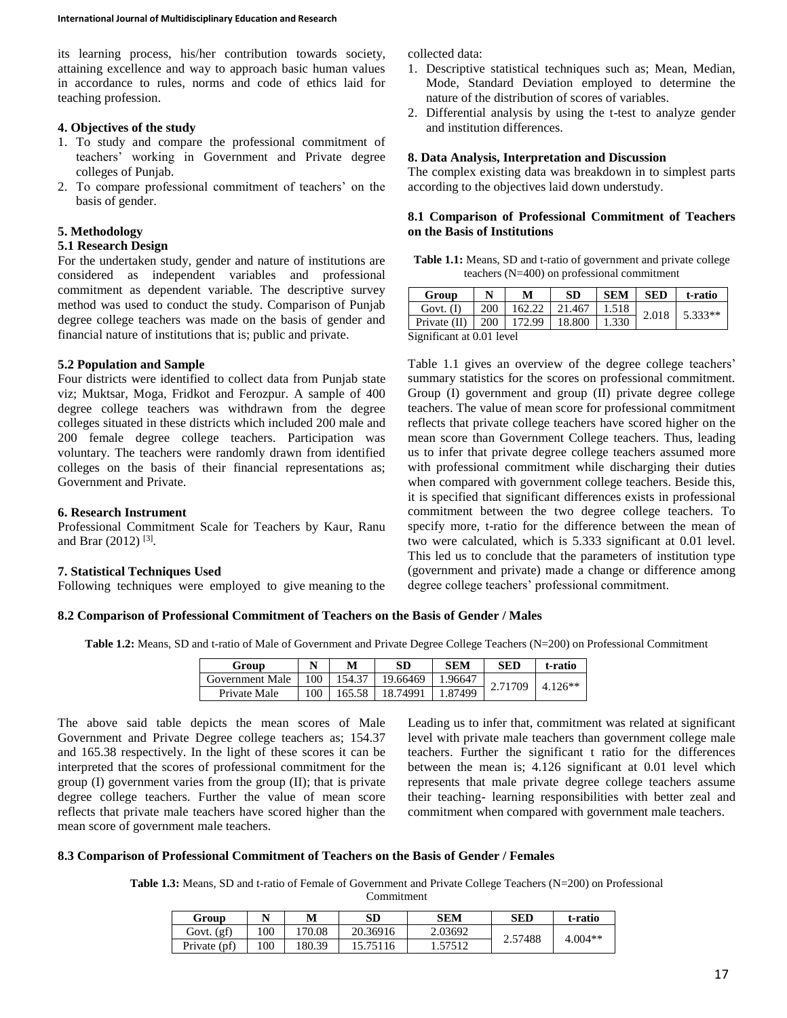its learning process, his/her contribution towards society, attaining excellence and way to approach basic human values in accordance to rules, norms and code of ethics laid for teaching profession.

### **4. Objectives of the study**

- 1. To study and compare the professional commitment of teachers' working in Government and Private degree colleges of Punjab.
- 2. To compare professional commitment of teachers' on the basis of gender.

### **5. Methodology**

## **5.1 Research Design**

For the undertaken study, gender and nature of institutions are considered as independent variables and professional commitment as dependent variable. The descriptive survey method was used to conduct the study. Comparison of Punjab degree college teachers was made on the basis of gender and financial nature of institutions that is; public and private.

## **5.2 Population and Sample**

Four districts were identified to collect data from Punjab state viz; Muktsar, Moga, Fridkot and Ferozpur. A sample of 400 degree college teachers was withdrawn from the degree colleges situated in these districts which included 200 male and 200 female degree college teachers. Participation was voluntary. The teachers were randomly drawn from identified colleges on the basis of their financial representations as; Government and Private.

## **6. Research Instrument**

Professional Commitment Scale for Teachers by Kaur, Ranu and Brar (2012)<sup>[3]</sup>.

## **7. Statistical Techniques Used**

Following techniques were employed to give meaning to the

collected data:

- 1. Descriptive statistical techniques such as; Mean, Median, Mode, Standard Deviation employed to determine the nature of the distribution of scores of variables.
- 2. Differential analysis by using the t-test to analyze gender and institution differences.

## **8. Data Analysis, Interpretation and Discussion**

The complex existing data was breakdown in to simplest parts according to the objectives laid down understudy.

### **8.1 Comparison of Professional Commitment of Teachers on the Basis of Institutions**

**Table 1.1:** Means, SD and t-ratio of government and private college teachers (N=400) on professional commitment

| Group                     | N   | M      | <b>SD</b> | <b>SEM</b> | <b>SED</b> | t-ratio   |
|---------------------------|-----|--------|-----------|------------|------------|-----------|
| Govt. $(I)$               | 200 | 162.22 | 21.467    | 1.518      | 2.018      | $5.333**$ |
| $\Gamma$ Private (II)     | 200 | 172.99 | 18.800    | 1.330      |            |           |
| Significant at 0.01 level |     |        |           |            |            |           |

Table 1.1 gives an overview of the degree college teachers' summary statistics for the scores on professional commitment. Group (I) government and group (II) private degree college teachers. The value of mean score for professional commitment reflects that private college teachers have scored higher on the mean score than Government College teachers. Thus, leading us to infer that private degree college teachers assumed more with professional commitment while discharging their duties when compared with government college teachers. Beside this, it is specified that significant differences exists in professional commitment between the two degree college teachers. To specify more, t-ratio for the difference between the mean of two were calculated, which is 5.333 significant at 0.01 level. This led us to conclude that the parameters of institution type (government and private) made a change or difference among degree college teachers' professional commitment.

## **8.2 Comparison of Professional Commitment of Teachers on the Basis of Gender / Males**

**Table 1.2:** Means, SD and t-ratio of Male of Government and Private Degree College Teachers (N=200) on Professional Commitment

| Group           |     |        | SD       | <b>SEM</b> | SED     | t-ratio   |
|-----------------|-----|--------|----------|------------|---------|-----------|
| Government Male | 100 | 154.37 | 19.66469 | 1.96647    | 2.71709 | $4.126**$ |
| Private Male    | 100 | 165.58 | 18.74991 | 1.87499    |         |           |

The above said table depicts the mean scores of Male Government and Private Degree college teachers as; 154.37 and 165.38 respectively. In the light of these scores it can be interpreted that the scores of professional commitment for the group (I) government varies from the group (II); that is private degree college teachers. Further the value of mean score reflects that private male teachers have scored higher than the mean score of government male teachers.

Leading us to infer that, commitment was related at significant level with private male teachers than government college male teachers. Further the significant t ratio for the differences between the mean is; 4.126 significant at 0.01 level which represents that male private degree college teachers assume their teaching- learning responsibilities with better zeal and commitment when compared with government male teachers.

### **8.3 Comparison of Professional Commitment of Teachers on the Basis of Gender / Females**

**Table 1.3:** Means, SD and t-ratio of Female of Government and Private College Teachers (N=200) on Professional

Commitment

| Group        |     | М      | SD       | SEM     | <b>SED</b> | t-ratio   |
|--------------|-----|--------|----------|---------|------------|-----------|
| Govt. (gf)   | 100 | 170.08 | 20.36916 | 2.03692 | 2.57488    | $4.004**$ |
| Private (pf) | 100 | 80.39  | 15.75116 | 1.57512 |            |           |